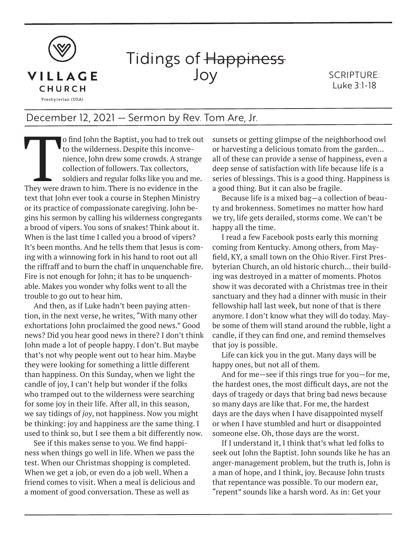

## Tidings of Happiness Joy

SCRIPTURE: Luke 3:1-18

## December 12, 2021 — Sermon by Rev. Tom Are, Jr.

The V of find John the Baptist, you had to trek out<br>to the wilderness. Despite this inconve-<br>nience, John drew some crowds. A strange<br>collection of followers. Tax collectors,<br>soldiers and regular folks like you and me.<br>The to the wilderness. Despite this inconvenience, John drew some crowds. A strange collection of followers. Tax collectors, soldiers and regular folks like you and me. text that John ever took a course in Stephen Ministry or its practice of compassionate caregiving. John begins his sermon by calling his wilderness congregants a brood of vipers. You sons of snakes! Think about it. When is the last time I called you a brood of vipers? It's been months. And he tells them that Jesus is coming with a winnowing fork in his hand to root out all the riffraff and to burn the chaff in unquenchable fire. Fire is not enough for John; it has to be unquenchable. Makes you wonder why folks went to all the trouble to go out to hear him.

And then, as if Luke hadn't been paying attention, in the next verse, he writes, "With many other exhortations John proclaimed the good news." Good news? Did you hear good news in there? I don't think John made a lot of people happy. I don't. But maybe that's not why people went out to hear him. Maybe they were looking for something a little different than happiness. On this Sunday, when we light the candle of joy, I can't help but wonder if the folks who tramped out to the wilderness were searching for some joy in their life. After all, in this season, we say tidings of *joy*, not happiness. Now you might be thinking: joy and happiness are the same thing. I used to think so, but I see them a bit differently now.

See if this makes sense to you. We find happiness when things go well in life. When we pass the test. When our Christmas shopping is completed. When we get a job, or even do a job well. When a friend comes to visit. When a meal is delicious and a moment of good conversation. These as well as

sunsets or getting glimpse of the neighborhood owl or harvesting a delicious tomato from the garden... all of these can provide a sense of happiness, even a deep sense of satisfaction with life because life is a series of blessings. This is a good thing. Happiness is a good thing. But it can also be fragile.

Because life is a mixed bag—a collection of beauty and brokenness. Sometimes no matter how hard we try, life gets derailed, storms come. We can't be happy all the time.

I read a few Facebook posts early this morning coming from Kentucky. Among others, from Mayfield, KY, a small town on the Ohio River. First Presbyterian Church, an old historic church... their building was destroyed in a matter of moments. Photos show it was decorated with a Christmas tree in their sanctuary and they had a dinner with music in their fellowship hall last week, but none of that is there anymore. I don't know what they will do today. Maybe some of them will stand around the rubble, light a candle, if they can find one, and remind themselves that joy is possible.

Life can kick you in the gut. Many days will be happy ones, but not all of them.

And for me—see if this rings true for you—for me, the hardest ones, the most difficult days, are not the days of tragedy or days that bring bad news because so many days are like that. For me, the hardest days are the days when I have disappointed myself or when I have stumbled and hurt or disappointed someone else. Oh, those days are the worst.

If I understand it, I think that's what led folks to seek out John the Baptist. John sounds like he has an anger-management problem, but the truth is, John is a man of hope, and I think, joy. Because John trusts that repentance was possible. To our modern ear, "repent" sounds like a harsh word. As in: Get your